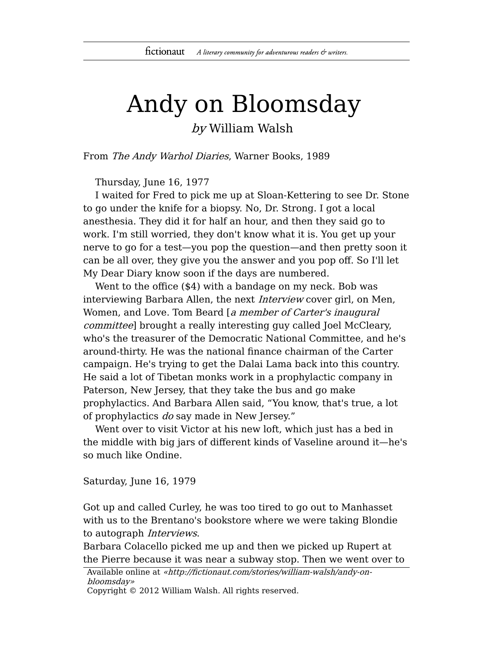## Andy on Bloomsday

by William Walsh

From The Andy Warhol Diaries, Warner Books, 1989

Thursday, June 16, 1977

I waited for Fred to pick me up at Sloan-Kettering to see Dr. Stone to go under the knife for a biopsy. No, Dr. Strong. I got a local anesthesia. They did it for half an hour, and then they said go to work. I'm still worried, they don't know what it is. You get up your nerve to go for a test—you pop the question—and then pretty soon it can be all over, they give you the answer and you pop off. So I'll let My Dear Diary know soon if the days are numbered.

Went to the office (\$4) with a bandage on my neck. Bob was interviewing Barbara Allen, the next Interview cover girl, on Men, Women, and Love. Tom Beard [a member of Carter's inaugural committee] brought a really interesting guy called Joel McCleary, who's the treasurer of the Democratic National Committee, and he's around-thirty. He was the national finance chairman of the Carter campaign. He's trying to get the Dalai Lama back into this country. He said a lot of Tibetan monks work in a prophylactic company in Paterson, New Jersey, that they take the bus and go make prophylactics. And Barbara Allen said, "You know, that's true, a lot of prophylactics do say made in New Jersey."

Went over to visit Victor at his new loft, which just has a bed in the middle with big jars of different kinds of Vaseline around it—he's so much like Ondine.

Saturday, June 16, 1979

Got up and called Curley, he was too tired to go out to Manhasset with us to the Brentano's bookstore where we were taking Blondie to autograph Interviews.

Barbara Colacello picked me up and then we picked up Rupert at the Pierre because it was near a subway stop. Then we went over to

Available online at «http://fictionaut.com/stories/william-walsh/andy-onbloomsday»

Copyright © 2012 William Walsh. All rights reserved.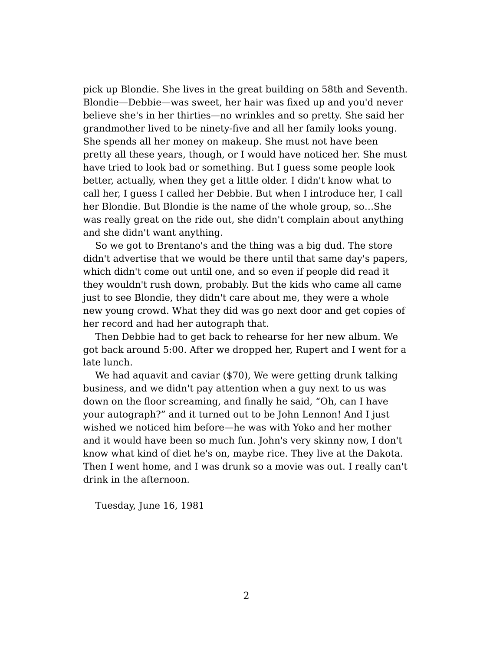pick up Blondie. She lives in the great building on 58th and Seventh. Blondie—Debbie—was sweet, her hair was fixed up and you'd never believe she's in her thirties—no wrinkles and so pretty. She said her grandmother lived to be ninety-five and all her family looks young. She spends all her money on makeup. She must not have been pretty all these years, though, or I would have noticed her. She must have tried to look bad or something. But I guess some people look better, actually, when they get a little older. I didn't know what to call her, I guess I called her Debbie. But when I introduce her, I call her Blondie. But Blondie is the name of the whole group, so…She was really great on the ride out, she didn't complain about anything and she didn't want anything.

So we got to Brentano's and the thing was a big dud. The store didn't advertise that we would be there until that same day's papers, which didn't come out until one, and so even if people did read it they wouldn't rush down, probably. But the kids who came all came just to see Blondie, they didn't care about me, they were a whole new young crowd. What they did was go next door and get copies of her record and had her autograph that.

Then Debbie had to get back to rehearse for her new album. We got back around 5:00. After we dropped her, Rupert and I went for a late lunch.

We had aquavit and caviar (\$70), We were getting drunk talking business, and we didn't pay attention when a guy next to us was down on the floor screaming, and finally he said, "Oh, can I have your autograph?" and it turned out to be John Lennon! And I just wished we noticed him before—he was with Yoko and her mother and it would have been so much fun. John's very skinny now, I don't know what kind of diet he's on, maybe rice. They live at the Dakota. Then I went home, and I was drunk so a movie was out. I really can't drink in the afternoon.

Tuesday, June 16, 1981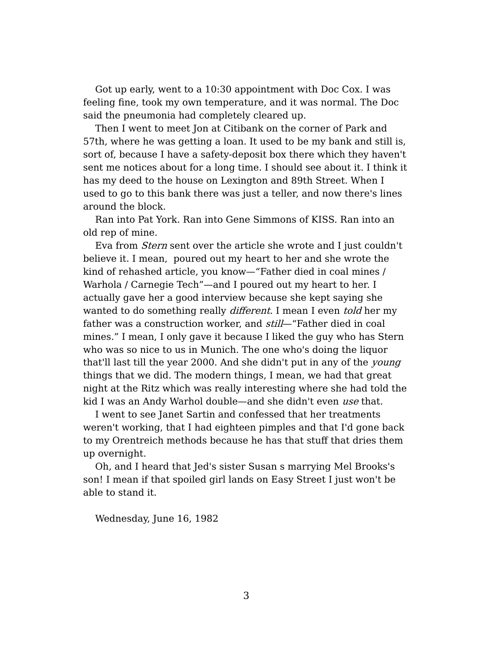Got up early, went to a 10:30 appointment with Doc Cox. I was feeling fine, took my own temperature, and it was normal. The Doc said the pneumonia had completely cleared up.

Then I went to meet Jon at Citibank on the corner of Park and 57th, where he was getting a loan. It used to be my bank and still is, sort of, because I have a safety-deposit box there which they haven't sent me notices about for a long time. I should see about it. I think it has my deed to the house on Lexington and 89th Street. When I used to go to this bank there was just a teller, and now there's lines around the block.

Ran into Pat York. Ran into Gene Simmons of KISS. Ran into an old rep of mine.

Eva from *Stern* sent over the article she wrote and I just couldn't believe it. I mean, poured out my heart to her and she wrote the kind of rehashed article, you know—"Father died in coal mines / Warhola / Carnegie Tech"—and I poured out my heart to her. I actually gave her a good interview because she kept saying she wanted to do something really *different*. I mean I even *told* her my father was a construction worker, and still—"Father died in coal mines." I mean, I only gave it because I liked the guy who has Stern who was so nice to us in Munich. The one who's doing the liquor that'll last till the year 2000. And she didn't put in any of the young things that we did. The modern things, I mean, we had that great night at the Ritz which was really interesting where she had told the kid I was an Andy Warhol double—and she didn't even use that.

I went to see Janet Sartin and confessed that her treatments weren't working, that I had eighteen pimples and that I'd gone back to my Orentreich methods because he has that stuff that dries them up overnight.

Oh, and I heard that Jed's sister Susan s marrying Mel Brooks's son! I mean if that spoiled girl lands on Easy Street I just won't be able to stand it.

Wednesday, June 16, 1982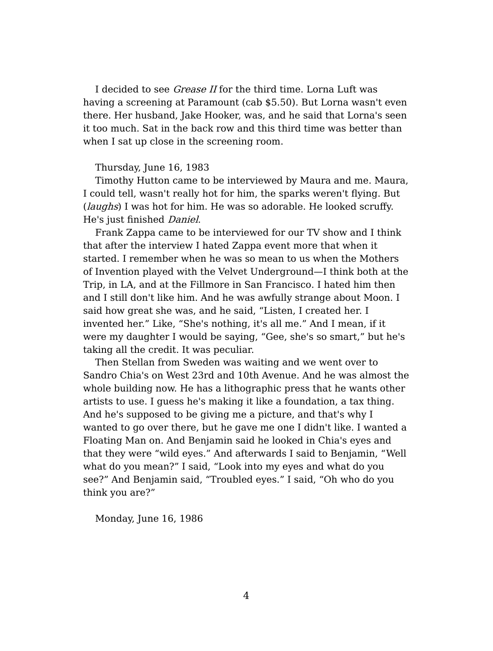I decided to see *Grease II* for the third time. Lorna Luft was having a screening at Paramount (cab \$5.50). But Lorna wasn't even there. Her husband, Jake Hooker, was, and he said that Lorna's seen it too much. Sat in the back row and this third time was better than when I sat up close in the screening room.

## Thursday, June 16, 1983

Timothy Hutton came to be interviewed by Maura and me. Maura, I could tell, wasn't really hot for him, the sparks weren't flying. But (*laughs*) I was hot for him. He was so adorable. He looked scruffy. He's just finished *Daniel*.

Frank Zappa came to be interviewed for our TV show and I think that after the interview I hated Zappa event more that when it started. I remember when he was so mean to us when the Mothers of Invention played with the Velvet Underground—I think both at the Trip, in LA, and at the Fillmore in San Francisco. I hated him then and I still don't like him. And he was awfully strange about Moon. I said how great she was, and he said, "Listen, I created her. I invented her." Like, "She's nothing, it's all me." And I mean, if it were my daughter I would be saying, "Gee, she's so smart," but he's taking all the credit. It was peculiar.

Then Stellan from Sweden was waiting and we went over to Sandro Chia's on West 23rd and 10th Avenue. And he was almost the whole building now. He has a lithographic press that he wants other artists to use. I guess he's making it like a foundation, a tax thing. And he's supposed to be giving me a picture, and that's why I wanted to go over there, but he gave me one I didn't like. I wanted a Floating Man on. And Benjamin said he looked in Chia's eyes and that they were "wild eyes." And afterwards I said to Benjamin, "Well what do you mean?" I said, "Look into my eyes and what do you see?" And Benjamin said, "Troubled eyes." I said, "Oh who do you think you are?"

Monday, June 16, 1986